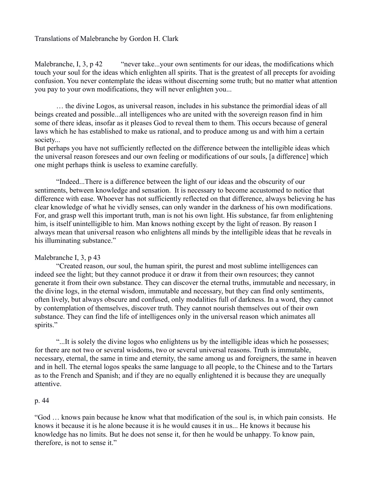# Translations of Malebranche by Gordon H. Clark

Malebranche, I, 3, p 42 "never take...your own sentiments for our ideas, the modifications which touch your soul for the ideas which enlighten all spirits. That is the greatest of all precepts for avoiding confusion. You never contemplate the ideas without discerning some truth; but no matter what attention you pay to your own modifications, they will never enlighten you...

… the divine Logos, as universal reason, includes in his substance the primordial ideas of all beings created and possible...all intelligences who are united with the sovereign reason find in him some of there ideas, insofar as it pleases God to reveal them to them. This occurs because of general laws which he has established to make us rational, and to produce among us and with him a certain society...

But perhaps you have not sufficiently reflected on the difference between the intelligible ideas which the universal reason foresees and our own feeling or modifications of our souls, [a difference] which one might perhaps think is useless to examine carefully.

"Indeed...There is a difference between the light of our ideas and the obscurity of our sentiments, between knowledge and sensation. It is necessary to become accustomed to notice that difference with ease. Whoever has not sufficiently reflected on that difference, always believing he has clear knowledge of what he vividly senses, can only wander in the darkness of his own modifications. For, and grasp well this important truth, man is not his own light. His substance, far from enlightening him, is itself unintelligible to him. Man knows nothing except by the light of reason. By reason I always mean that universal reason who enlightens all minds by the intelligible ideas that he reveals in his illuminating substance."

## Malebranche I, 3, p 43

"Created reason, our soul, the human spirit, the purest and most sublime intelligences can indeed see the light; but they cannot produce it or draw it from their own resources; they cannot generate it from their own substance. They can discover the eternal truths, immutable and necessary, in the divine logs, in the eternal wisdom, immutable and necessary, but they can find only sentiments, often lively, but always obscure and confused, only modalities full of darkness. In a word, they cannot by contemplation of themselves, discover truth. They cannot nourish themselves out of their own substance. They can find the life of intelligences only in the universal reason which animates all spirits."

"...It is solely the divine logos who enlightens us by the intelligible ideas which he possesses; for there are not two or several wisdoms, two or several universal reasons. Truth is immutable, necessary, eternal, the same in time and eternity, the same among us and foreigners, the same in heaven and in hell. The eternal logos speaks the same language to all people, to the Chinese and to the Tartars as to the French and Spanish; and if they are no equally enlightened it is because they are unequally attentive.

## p. 44

"God … knows pain because he know what that modification of the soul is, in which pain consists. He knows it because it is he alone because it is he would causes it in us... He knows it because his knowledge has no limits. But he does not sense it, for then he would be unhappy. To know pain, therefore, is not to sense it."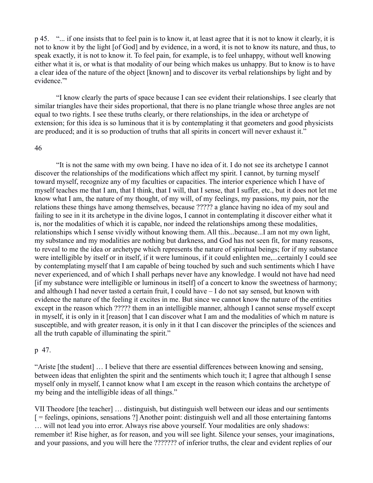p 45. "... if one insists that to feel pain is to know it, at least agree that it is not to know it clearly, it is not to know it by the light [of God] and by evidence, in a word, it is not to know its nature, and thus, to speak exactly, it is not to know it. To feel pain, for example, is to feel unhappy, without well knowing either what it is, or what is that modality of our being which makes us unhappy. But to know is to have a clear idea of the nature of the object [known] and to discover its verbal relationships by light and by evidence."'

"I know clearly the parts of space because I can see evident their relationships. I see clearly that similar triangles have their sides proportional, that there is no plane triangle whose three angles are not equal to two rights. I see these truths clearly, or there relationships, in the idea or archetype of extension; for this idea is so luminous that it is by contemplating it that geometers and good physicists are produced; and it is so production of truths that all spirits in concert will never exhaust it."

#### 46

"It is not the same with my own being. I have no idea of it. I do not see its archetype I cannot discover the relationships of the modifications which affect my spirit. I cannot, by turning myself toward myself, recognize any of my faculties or capacities. The interior experience which I have of myself teaches me that I am, that I think, that I will, that I sense, that I suffer, etc., but it does not let me know what I am, the nature of my thought, of my will, of my feelings, my passions, my pain, nor the relations these things have among themselves, because ????? a glance having no idea of my soul and failing to see in it its archetype in the divine logos, I cannot in contemplating it discover either what it is, nor the modalities of which it is capable, nor indeed the relationships among these modalities, relationships which I sense vividly without knowing them. All this...because...I am not my own light, my substance and my modalities are nothing but darkness, and God has not seen fit, for many reasons, to reveal to me the idea or archetype which represents the nature of spiritual beings; for if my substance were intelligible by itself or in itself, if it were luminous, if it could enlighten me,...certainly I could see by contemplating myself that I am capable of being touched by such and such sentiments which I have never experienced, and of which I shall perhaps never have any knowledge. I would not have had need [if my substance were intelligible or luminous in itself] of a concert to know the sweetness of harmony; and although I had never tasted a certain fruit, I could have – I do not say sensed, but known with evidence the nature of the feeling it excites in me. But since we cannot know the nature of the entities except in the reason which ????? them in an intelligible manner, although I cannot sense myself except in myself, it is only in it [reason] that I can discover what I am and the modalities of which m nature is susceptible, and with greater reason, it is only in it that I can discover the principles of the sciences and all the truth capable of illuminating the spirit."

#### p 47.

"Ariste [the student] … I believe that there are essential differences between knowing and sensing, between ideas that enlighten the spirit and the sentiments which touch it; I agree that although I sense myself only in myself, I cannot know what I am except in the reason which contains the archetype of my being and the intelligible ideas of all things."

VII Theodore [the teacher] … distinguish, but distinguish well between our ideas and our sentiments [ = feelings, opinions, sensations ?] Another point: distinguish well and all those entertaining fantoms … will not lead you into error. Always rise above yourself. Your modalities are only shadows: remember it! Rise higher, as for reason, and you will see light. Silence your senses, your imaginations, and your passions, and you will here the ??????? of inferior truths, the clear and evident replies of our